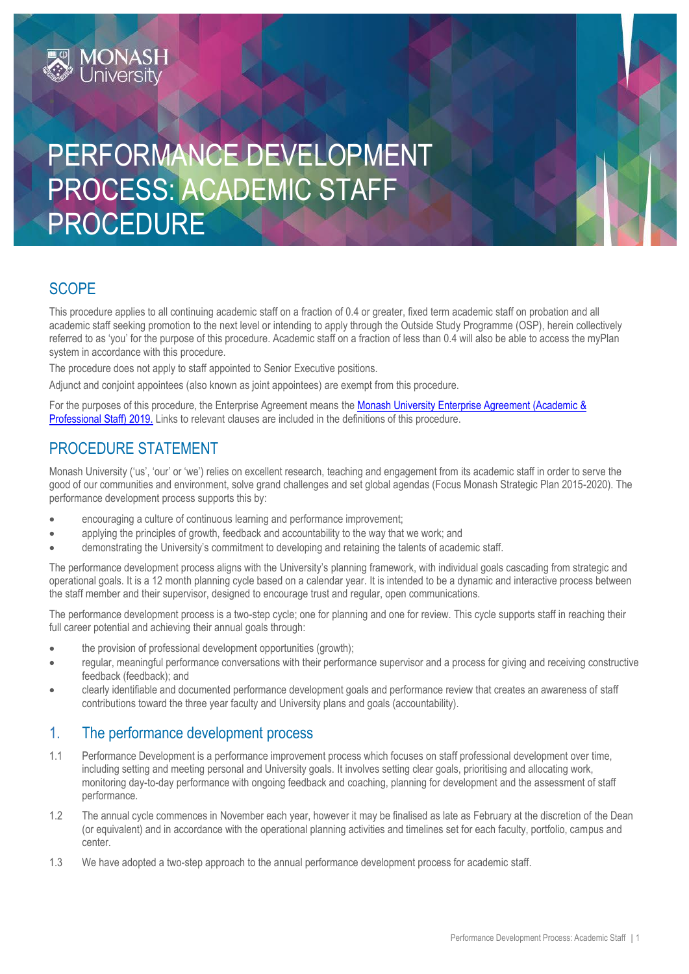# PERFORMANCE DEVELOPMENT PROCESS: ACADEMIC STAFF PROCEDURE

# **SCOPE**

This procedure applies to all continuing academic staff on a fraction of 0.4 or greater, fixed term academic staff on probation and all academic staff seeking promotion to the next level or intending to apply through the Outside Study Programme (OSP), herein collectively referred to as 'you' for the purpose of this procedure. Academic staff on a fraction of less than 0.4 will also be able to access the myPlan system in accordance with this procedure.

The procedure does not apply to staff appointed to Senior Executive positions.

Adjunct and conjoint appointees (also known as joint appointees) are exempt from this procedure.

For the purposes of this procedure, the Enterprise Agreement means the Monash University Enterprise Agreement (Academic & [Professional Staff\) 2019.](https://www.monash.edu/current-enterprise-agreements/academic-professional-2019) Links to relevant clauses are included in the definitions of this procedure.

## PROCEDURE STATEMENT

**MONASH**<br>University

Monash University ('us', 'our' or 'we') relies on excellent research, teaching and engagement from its academic staff in order to serve the good of our communities and environment, solve grand challenges and set global agendas (Focus Monash Strategic Plan 2015-2020). The performance development process supports this by:

- encouraging a culture of continuous learning and performance improvement;
- applying the principles of growth, feedback and accountability to the way that we work; and
- demonstrating the University's commitment to developing and retaining the talents of academic staff.

The performance development process aligns with the University's planning framework, with individual goals cascading from strategic and operational goals. It is a 12 month planning cycle based on a calendar year. It is intended to be a dynamic and interactive process between the staff member and their supervisor, designed to encourage trust and regular, open communications.

The performance development process is a two-step cycle; one for planning and one for review. This cycle supports staff in reaching their full career potential and achieving their annual goals through:

- the provision of professional development opportunities (growth);
- regular, meaningful performance conversations with their performance supervisor and a process for giving and receiving constructive feedback (feedback); and
- clearly identifiable and documented performance development goals and performance review that creates an awareness of staff contributions toward the three year faculty and University plans and goals (accountability).

### 1. The performance development process

- 1.1 Performance Development is a performance improvement process which focuses on staff professional development over time, including setting and meeting personal and University goals. It involves setting clear goals, prioritising and allocating work, monitoring day-to-day performance with ongoing feedback and coaching, planning for development and the assessment of staff performance.
- 1.2 The annual cycle commences in November each year, however it may be finalised as late as February at the discretion of the Dean (or equivalent) and in accordance with the operational planning activities and timelines set for each faculty, portfolio, campus and center.
- 1.3 We have adopted a two-step approach to the annual performance development process for academic staff.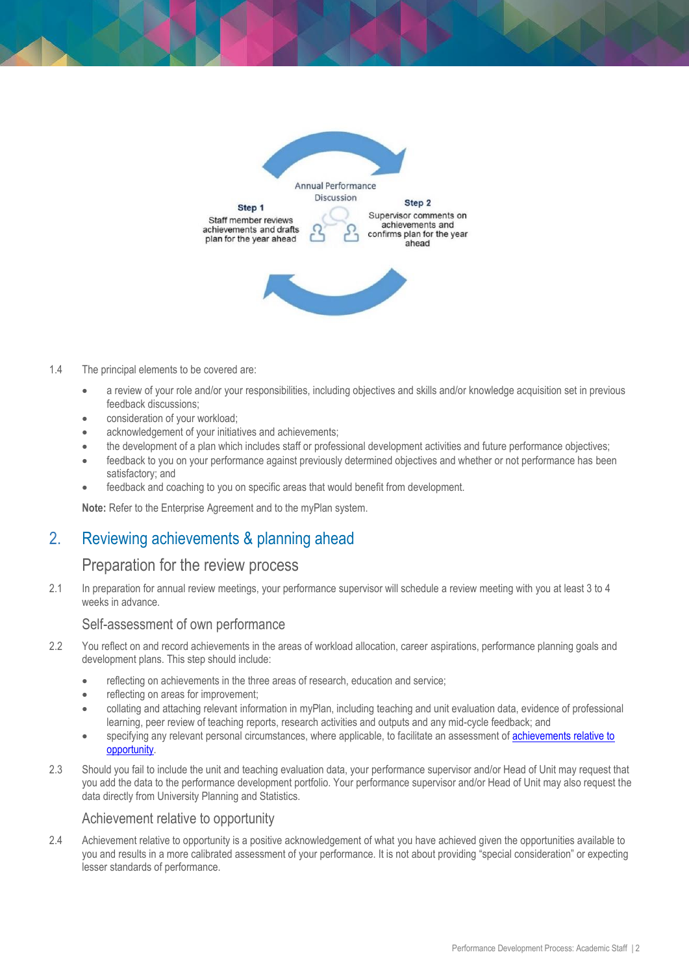

#### 1.4 The principal elements to be covered are:

- a review of your role and/or your responsibilities, including objectives and skills and/or knowledge acquisition set in previous feedback discussions;
- consideration of your workload;
- acknowledgement of your initiatives and achievements;
- the development of a plan which includes staff or professional development activities and future performance objectives;
- feedback to you on your performance against previously determined objectives and whether or not performance has been satisfactory; and
- feedback and coaching to you on specific areas that would benefit from development.

**Note:** Refer to the Enterprise Agreement and to the myPlan system.

# 2. Reviewing achievements & planning ahead

#### Preparation for the review process

2.1 In preparation for annual review meetings, your performance supervisor will schedule a review meeting with you at least 3 to 4 weeks in advance.

#### Self-assessment of own performance

- 2.2 You reflect on and record achievements in the areas of workload allocation, career aspirations, performance planning goals and development plans. This step should include:
	- reflecting on achievements in the three areas of research, education and service;
	- reflecting on areas for improvement;
	- collating and attaching relevant information in myPlan, including teaching and unit evaluation data, evidence of professional learning, peer review of teaching reports, research activities and outputs and any mid-cycle feedback; and
	- specifying any relevant personal circumstances, where applicable, to facilitate an assessment of achievements relative to [opportunity.](https://www.monash.edu/academic-promotion/committees/assessment-of-achievement-relative-to-opportunity)
- 2.3 Should you fail to include the unit and teaching evaluation data, your performance supervisor and/or Head of Unit may request that you add the data to the performance development portfolio. Your performance supervisor and/or Head of Unit may also request the data directly from University Planning and Statistics.

#### Achievement relative to opportunity

2.4 Achievement relative to opportunity is a positive acknowledgement of what you have achieved given the opportunities available to you and results in a more calibrated assessment of your performance. It is not about providing "special consideration" or expecting lesser standards of performance.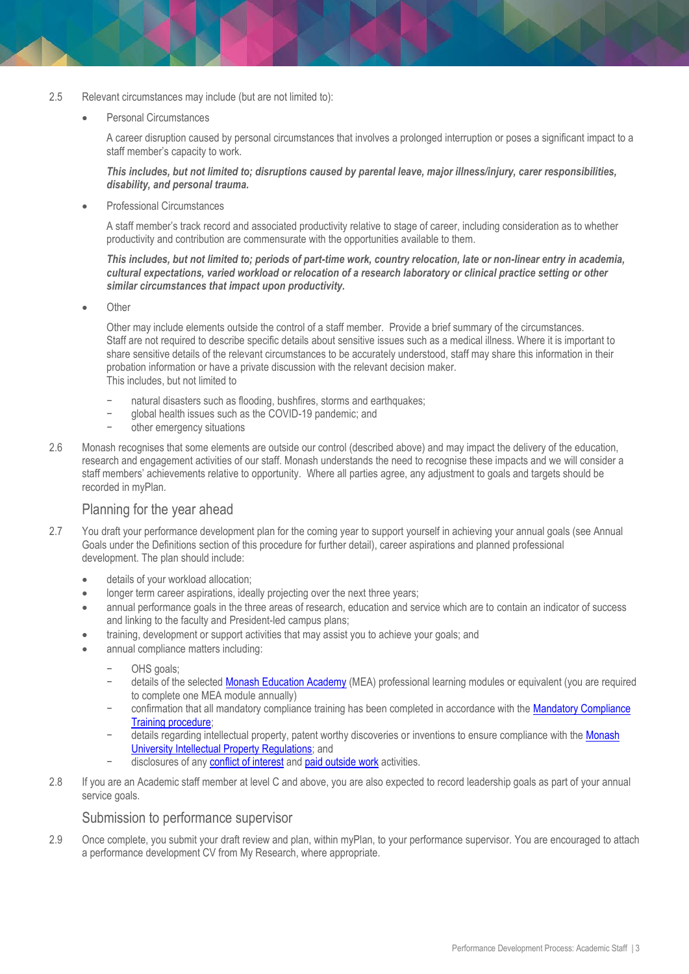- 2.5 Relevant circumstances may include (but are not limited to):
	- Personal Circumstances

A career disruption caused by personal circumstances that involves a prolonged interruption or poses a significant impact to a staff member's capacity to work.

*This includes, but not limited to; disruptions caused by parental leave, major illness/injury, carer responsibilities, disability, and personal trauma.*

Professional Circumstances

A staff member's track record and associated productivity relative to stage of career, including consideration as to whether productivity and contribution are commensurate with the opportunities available to them.

#### *This includes, but not limited to; periods of part-time work, country relocation, late or non-linear entry in academia, cultural expectations, varied workload or relocation of a research laboratory or clinical practice setting or other similar circumstances that impact upon productivity.*

**Other** 

Other may include elements outside the control of a staff member. Provide a brief summary of the circumstances. Staff are not required to describe specific details about sensitive issues such as a medical illness. Where it is important to share sensitive details of the relevant circumstances to be accurately understood, staff may share this information in their probation information or have a private discussion with the relevant decision maker. This includes, but not limited to

- natural disasters such as flooding, bushfires, storms and earthquakes;
- − global health issues such as the COVID-19 pandemic; and
- − other emergency situations
- 2.6 Monash recognises that some elements are outside our control (described above) and may impact the delivery of the education, research and engagement activities of our staff. Monash understands the need to recognise these impacts and we will consider a staff members' achievements relative to opportunity. Where all parties agree, any adjustment to goals and targets should be recorded in myPlan.

#### Planning for the year ahead

- 2.7 You draft your performance development plan for the coming year to support yourself in achieving your annual goals (see Annual Goals under the Definitions section of this procedure for further detail), career aspirations and planned professional development. The plan should include:
	- details of your workload allocation;
	- longer term career aspirations, ideally projecting over the next three years;
	- annual performance goals in the three areas of research, education and service which are to contain an indicator of success and linking to the faculty and President-led campus plans;
	- training, development or support activities that may assist you to achieve your goals; and
	- annual compliance matters including:
		- OHS goals:
		- details of the selected [Monash Education Academy](https://www.monash.edu/learning-teaching/mea/professional-learning-and-practice/modules) (MEA) professional learning modules or equivalent (you are required to complete one MEA module annually)
		- confirmation that all mandatory compliance training has been completed in accordance with the Mandatory Compliance [Training procedure;](https://publicpolicydms.monash.edu/Monash/documents/1935706)
		- details regarding intellectual property, patent worthy discoveries or inventions to ensure compliance with the Monash [University Intellectual Property Regulations;](https://www.monash.edu/legal/legislation) and
		- disclosures of any [conflict of interest](https://publicpolicydms.monash.edu/Monash/documents/1935671) and [paid outside work](https://publicpolicydms.monash.edu/Monash/documents/1935711) activities.
- 2.8 If you are an Academic staff member at level C and above, you are also expected to record leadership goals as part of your annual service goals.

#### Submission to performance supervisor

2.9 Once complete, you submit your draft review and plan, within myPlan, to your performance supervisor. You are encouraged to attach a performance development CV from My Research, where appropriate.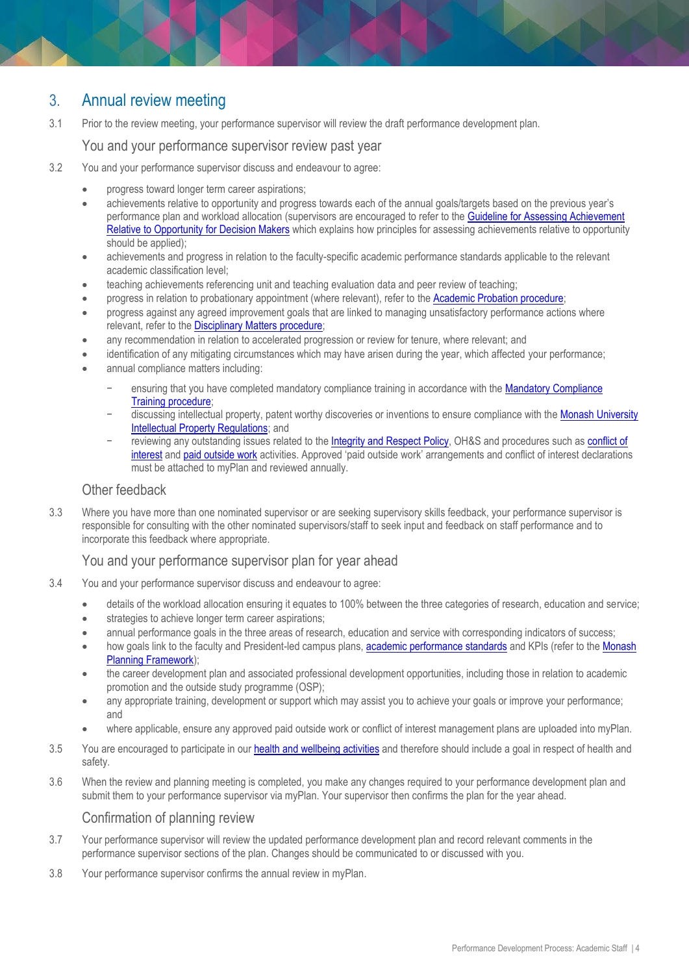# 3. Annual review meeting

3.1 Prior to the review meeting, your performance supervisor will review the draft performance development plan.

#### You and your performance supervisor review past year

- 3.2 You and your performance supervisor discuss and endeavour to agree:
	- progress toward longer term career aspirations;
	- achievements relative to opportunity and progress towards each of the annual goals/targets based on the previous year's performance plan and workload allocation (supervisors are encouraged to refer to the [Guideline for Assessing Achievement](https://www.monash.edu/__data/assets/pdf_file/0008/1798460/Guidelines-for-Assessing-Achievement-Relative-to-Opportunity.pdf)  [Relative to Opportunity for Decision Makers](https://www.monash.edu/__data/assets/pdf_file/0008/1798460/Guidelines-for-Assessing-Achievement-Relative-to-Opportunity.pdf) which explains how principles for assessing achievements relative to opportunity should be applied);
	- achievements and progress in relation to the faculty-specific academic performance standards applicable to the relevant academic classification level;
	- teaching achievements referencing unit and teaching evaluation data and peer review of teaching;
	- progress in relation to probationary appointment (where relevant), refer to the [Academic Probation procedure;](https://publicpolicydms.monash.edu/Monash/documents/1935659)
	- progress against any agreed improvement goals that are linked to managing unsatisfactory performance actions where relevant, refer to the [Disciplinary Matters procedure;](https://publicpolicydms.monash.edu/Monash/documents/1935674)
	- any recommendation in relation to accelerated progression or review for tenure, where relevant; and
	- identification of any mitigating circumstances which may have arisen during the year, which affected your performance;
	- annual compliance matters including:
		- ensuring that you have completed mandatory compliance training in accordance with the Mandatory Compliance Training [procedure;](https://publicpolicydms.monash.edu/Monash/documents/1935706)
		- discussing intellectual property, patent worthy discoveries or inventions to ensure compliance with the Monash University [Intellectual Property Regulations;](https://www.monash.edu/__data/assets/pdf_file/0006/494268/intellectual-property-regulations.pdf) and
		- reviewing any outstanding issues related to the [Integrity and Respect](https://publicpolicydms.monash.edu/Monash/documents/1935702) Policy, OH&S and procedures such as conflict of [interest](https://publicpolicydms.monash.edu/Monash/documents/1935671) and [paid outside work](https://publicpolicydms.monash.edu/Monash/documents/1935711) activities. Approved 'paid outside work' arrangements and conflict of interest declarations must be attached to myPlan and reviewed annually.

#### Other feedback

3.3 Where you have more than one nominated supervisor or are seeking supervisory skills feedback, your performance supervisor is responsible for consulting with the other nominated supervisors/staff to seek input and feedback on staff performance and to incorporate this feedback where appropriate.

#### You and your performance supervisor plan for year ahead

- 3.4 You and your performance supervisor discuss and endeavour to agree:
	- details of the workload allocation ensuring it equates to 100% between the three categories of research, education and service;
	- **•** strategies to achieve longer term career aspirations;
	- annual performance goals in the three areas of research, education and service with corresponding indicators of success;
	- how goals link to the faculty and President-led campus plans[, academic performance standards](https://www.monash.edu/academic-promotion/tools-and-resources/standards) and KPIs (refer to the Monash [Planning Framework\)](http://www.monash.edu/about/who/strategic-plan/framework);
	- the career development plan and associated professional development opportunities, including those in relation to academic promotion and the outside study programme (OSP);
	- any appropriate training, development or support which may assist you to achieve your goals or improve your performance; and
	- where applicable, ensure any approved paid outside work or conflict of interest management plans are uploaded into myPlan.
- 3.5 You are encouraged to participate in our [health and wellbeing activities](https://www.monash.edu/ohs/health-and-wellbeing) and therefore should include a goal in respect of health and safety.
- 3.6 When the review and planning meeting is completed, you make any changes required to your performance development plan and submit them to your performance supervisor via myPlan. Your supervisor then confirms the plan for the year ahead.

#### Confirmation of planning review

- 3.7 Your performance supervisor will review the updated performance development plan and record relevant comments in the performance supervisor sections of the plan. Changes should be communicated to or discussed with you.
- 3.8 Your performance supervisor confirms the annual review in myPlan.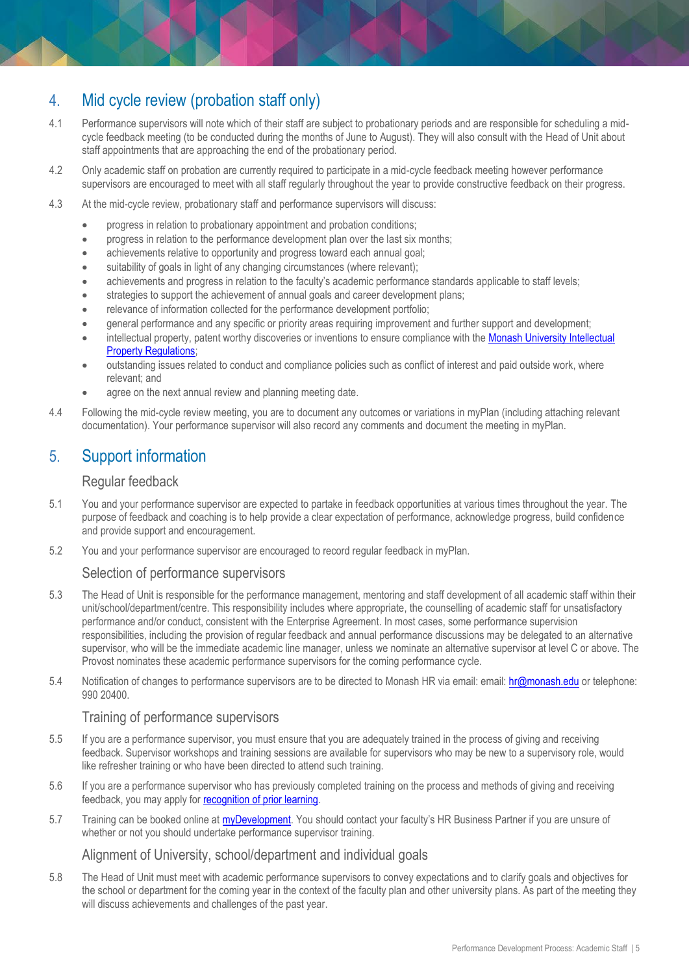# 4. Mid cycle review (probation staff only)

- 4.1 Performance supervisors will note which of their staff are subject to probationary periods and are responsible for scheduling a midcycle feedback meeting (to be conducted during the months of June to August). They will also consult with the Head of Unit about staff appointments that are approaching the end of the probationary period.
- 4.2 Only academic staff on probation are currently required to participate in a mid-cycle feedback meeting however performance supervisors are encouraged to meet with all staff regularly throughout the year to provide constructive feedback on their progress.
- 4.3 At the mid-cycle review, probationary staff and performance supervisors will discuss:
	- progress in relation to probationary appointment and probation conditions;
	- progress in relation to the performance development plan over the last six months;
	- achievements relative to opportunity and progress toward each annual goal:
	- suitability of goals in light of any changing circumstances (where relevant);
	- achievements and progress in relation to the faculty's academic performance standards applicable to staff levels;
	- strategies to support the achievement of annual goals and career development plans;
	- relevance of information collected for the performance development portfolio;
	- general performance and any specific or priority areas requiring improvement and further support and development;
	- intellectual property, patent worthy discoveries or inventions to ensure compliance with the Monash University Intellectual **Property Requlations:**
	- outstanding issues related to conduct and compliance policies such as conflict of interest and paid outside work, where relevant; and
	- agree on the next annual review and planning meeting date.
- 4.4 Following the mid-cycle review meeting, you are to document any outcomes or variations in myPlan (including attaching relevant documentation). Your performance supervisor will also record any comments and document the meeting in myPlan.

# 5. Support information

#### Regular feedback

- 5.1 You and your performance supervisor are expected to partake in feedback opportunities at various times throughout the year. The purpose of feedback and coaching is to help provide a clear expectation of performance, acknowledge progress, build confidence and provide support and encouragement.
- 5.2 You and your performance supervisor are encouraged to record regular feedback in myPlan.

#### Selection of performance supervisors

- 5.3 The Head of Unit is responsible for the performance management, mentoring and staff development of all academic staff within their unit/school/department/centre. This responsibility includes where appropriate, the counselling of academic staff for unsatisfactory performance and/or conduct, consistent with the Enterprise Agreement. In most cases, some performance supervision responsibilities, including the provision of regular feedback and annual performance discussions may be delegated to an alternative supervisor, who will be the immediate academic line manager, unless we nominate an alternative supervisor at level C or above. The Provost nominates these academic performance supervisors for the coming performance cycle.
- 5.4 Notification of changes to performance supervisors are to be directed to Monash HR via email: email: [hr@monash.edu](mailto:hr@monash.edu) or telephone: 990 20400.

#### Training of performance supervisors

- 5.5 If you are a performance supervisor, you must ensure that you are adequately trained in the process of giving and receiving feedback. Supervisor workshops and training sessions are available for supervisors who may be new to a supervisory role, would like refresher training or who have been directed to attend such training.
- 5.6 If you are a performance supervisor who has previously completed training on the process and methods of giving and receiving feedback, you may apply for [recognition of prior learning.](https://www.intranet.monash/talent-leadership-development/excel-in-your-role/recognition-and-prior-learning)
- 5.7 Training can be booked online at [myDevelopment.](https://monash.csod.com/samldefault.aspx) You should contact your faculty's [HR Business Partner](http://www.adm.monash.edu.au/human-resources/contact) if you are unsure of whether or not you should undertake performance supervisor training.

#### Alignment of University, school/department and individual goals

5.8 The Head of Unit must meet with academic performance supervisors to convey expectations and to clarify goals and objectives for the school or department for the coming year in the context of the faculty plan and other university plans. As part of the meeting they will discuss achievements and challenges of the past year.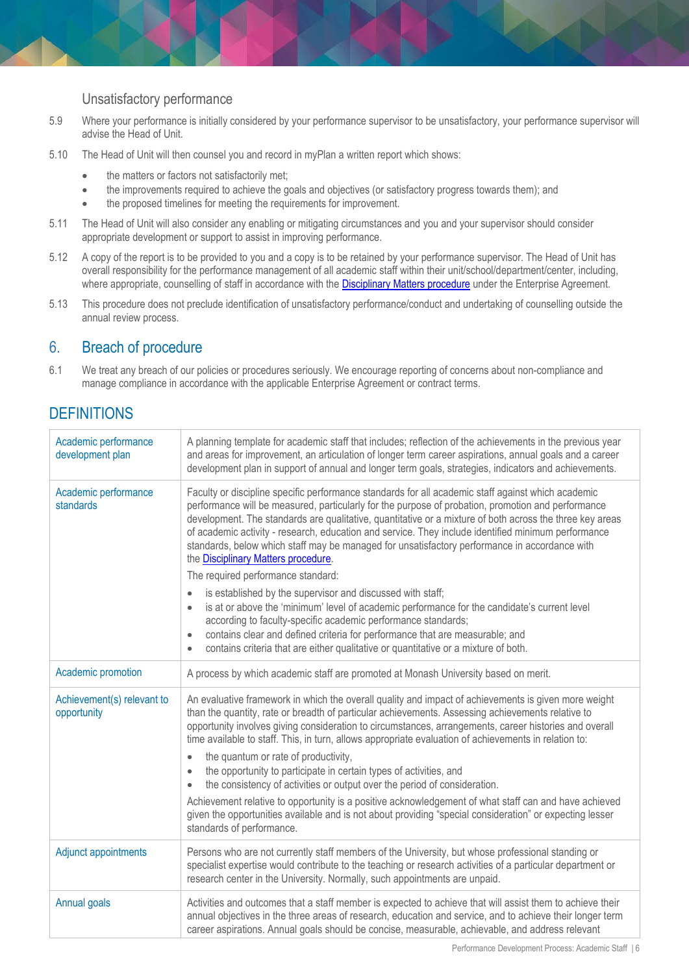#### Unsatisfactory performance

- 5.9 Where your performance is initially considered by your performance supervisor to be unsatisfactory, your performance supervisor will advise the Head of Unit.
- 5.10 The Head of Unit will then counsel you and record in myPlan a written report which shows:
	- the matters or factors not satisfactorily met;
	- the improvements required to achieve the goals and objectives (or satisfactory progress towards them); and
	- the proposed timelines for meeting the requirements for improvement.
- 5.11 The Head of Unit will also consider any enabling or mitigating circumstances and you and your supervisor should consider appropriate development or support to assist in improving performance.
- 5.12 A copy of the report is to be provided to you and a copy is to be retained by your performance supervisor. The Head of Unit has overall responsibility for the performance management of all academic staff within their unit/school/department/center, including, where appropriate, counselling of staff in accordance with the **[Disciplinary Matters procedure](https://publicpolicydms.monash.edu/Monash/documents/1935674)** under the [Enterprise Agreement.](http://adm.monash.edu.au/enterprise-agreements/academic-professional-2014/)
- 5.13 This procedure does not preclude identification of unsatisfactory performance/conduct and undertaking of counselling outside the annual review process.

## 6. Breach of procedure

6.1 We treat any breach of our policies or procedures seriously. We encourage reporting of concerns about non-compliance and manage compliance in accordance with the applicable Enterprise Agreement or contract terms.

# **DEFINITIONS**

| Academic performance<br>development plan  | A planning template for academic staff that includes; reflection of the achievements in the previous year<br>and areas for improvement, an articulation of longer term career aspirations, annual goals and a career<br>development plan in support of annual and longer term goals, strategies, indicators and achievements.                                                                                                                                                                                                                                                                                                                                                                |
|-------------------------------------------|----------------------------------------------------------------------------------------------------------------------------------------------------------------------------------------------------------------------------------------------------------------------------------------------------------------------------------------------------------------------------------------------------------------------------------------------------------------------------------------------------------------------------------------------------------------------------------------------------------------------------------------------------------------------------------------------|
| Academic performance<br>standards         | Faculty or discipline specific performance standards for all academic staff against which academic<br>performance will be measured, particularly for the purpose of probation, promotion and performance<br>development. The standards are qualitative, quantitative or a mixture of both across the three key areas<br>of academic activity - research, education and service. They include identified minimum performance<br>standards, below which staff may be managed for unsatisfactory performance in accordance with<br>the <b>Disciplinary Matters procedure</b> .<br>The required performance standard:<br>is established by the supervisor and discussed with staff;<br>$\bullet$ |
|                                           | is at or above the 'minimum' level of academic performance for the candidate's current level<br>$\bullet$<br>according to faculty-specific academic performance standards;<br>contains clear and defined criteria for performance that are measurable; and<br>$\bullet$<br>contains criteria that are either qualitative or quantitative or a mixture of both.<br>$\bullet$                                                                                                                                                                                                                                                                                                                  |
| Academic promotion                        | A process by which academic staff are promoted at Monash University based on merit.                                                                                                                                                                                                                                                                                                                                                                                                                                                                                                                                                                                                          |
| Achievement(s) relevant to<br>opportunity | An evaluative framework in which the overall quality and impact of achievements is given more weight<br>than the quantity, rate or breadth of particular achievements. Assessing achievements relative to<br>opportunity involves giving consideration to circumstances, arrangements, career histories and overall<br>time available to staff. This, in turn, allows appropriate evaluation of achievements in relation to:<br>the quantum or rate of productivity,<br>$\bullet$<br>the opportunity to participate in certain types of activities, and<br>$\bullet$<br>the consistency of activities or output over the period of consideration.<br>$\bullet$                               |
|                                           | Achievement relative to opportunity is a positive acknowledgement of what staff can and have achieved<br>given the opportunities available and is not about providing "special consideration" or expecting lesser<br>standards of performance.                                                                                                                                                                                                                                                                                                                                                                                                                                               |
| <b>Adjunct appointments</b>               | Persons who are not currently staff members of the University, but whose professional standing or<br>specialist expertise would contribute to the teaching or research activities of a particular department or<br>research center in the University. Normally, such appointments are unpaid.                                                                                                                                                                                                                                                                                                                                                                                                |
| Annual goals                              | Activities and outcomes that a staff member is expected to achieve that will assist them to achieve their<br>annual objectives in the three areas of research, education and service, and to achieve their longer term<br>career aspirations. Annual goals should be concise, measurable, achievable, and address relevant                                                                                                                                                                                                                                                                                                                                                                   |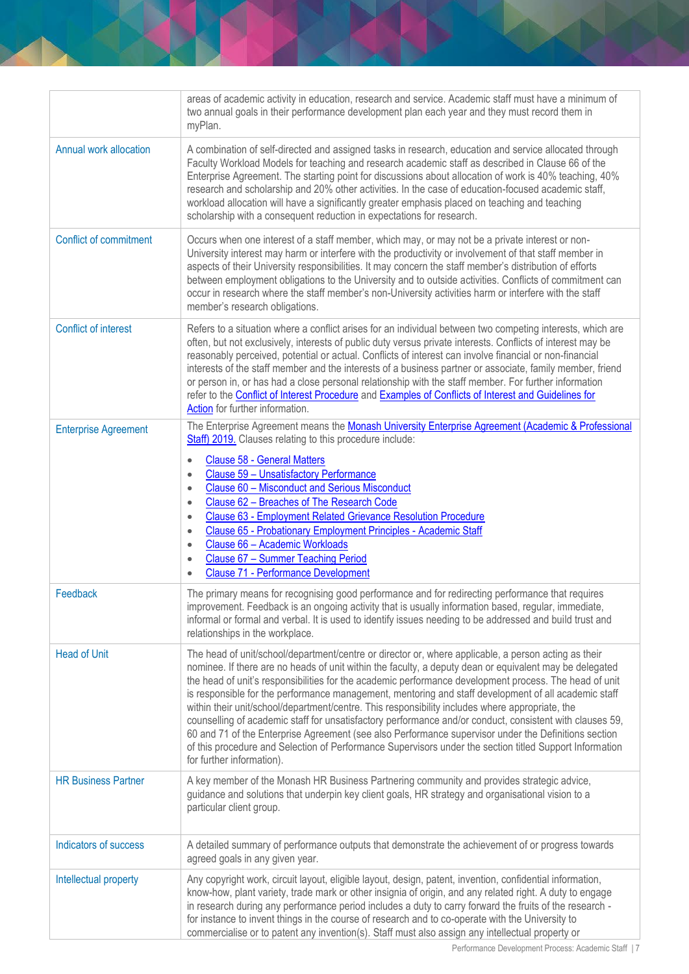|                               | areas of academic activity in education, research and service. Academic staff must have a minimum of<br>two annual goals in their performance development plan each year and they must record them in<br>myPlan.                                                                                                                                                                                                                                                                                                                                                                                                                                                                                                                                                                                                                                                                                 |
|-------------------------------|--------------------------------------------------------------------------------------------------------------------------------------------------------------------------------------------------------------------------------------------------------------------------------------------------------------------------------------------------------------------------------------------------------------------------------------------------------------------------------------------------------------------------------------------------------------------------------------------------------------------------------------------------------------------------------------------------------------------------------------------------------------------------------------------------------------------------------------------------------------------------------------------------|
| Annual work allocation        | A combination of self-directed and assigned tasks in research, education and service allocated through<br>Faculty Workload Models for teaching and research academic staff as described in Clause 66 of the<br>Enterprise Agreement. The starting point for discussions about allocation of work is 40% teaching, 40%<br>research and scholarship and 20% other activities. In the case of education-focused academic staff,<br>workload allocation will have a significantly greater emphasis placed on teaching and teaching<br>scholarship with a consequent reduction in expectations for research.                                                                                                                                                                                                                                                                                          |
| <b>Conflict of commitment</b> | Occurs when one interest of a staff member, which may, or may not be a private interest or non-<br>University interest may harm or interfere with the productivity or involvement of that staff member in<br>aspects of their University responsibilities. It may concern the staff member's distribution of efforts<br>between employment obligations to the University and to outside activities. Conflicts of commitment can<br>occur in research where the staff member's non-University activities harm or interfere with the staff<br>member's research obligations.                                                                                                                                                                                                                                                                                                                       |
| Conflict of interest          | Refers to a situation where a conflict arises for an individual between two competing interests, which are<br>often, but not exclusively, interests of public duty versus private interests. Conflicts of interest may be<br>reasonably perceived, potential or actual. Conflicts of interest can involve financial or non-financial<br>interests of the staff member and the interests of a business partner or associate, family member, friend<br>or person in, or has had a close personal relationship with the staff member. For further information<br>refer to the Conflict of Interest Procedure and Examples of Conflicts of Interest and Guidelines for<br>Action for further information.                                                                                                                                                                                            |
| <b>Enterprise Agreement</b>   | The Enterprise Agreement means the Monash University Enterprise Agreement (Academic & Professional<br>Staff) 2019. Clauses relating to this procedure include:<br><b>Clause 58 - General Matters</b><br>$\bullet$<br>Clause 59 - Unsatisfactory Performance<br>$\bullet$<br>Clause 60 - Misconduct and Serious Misconduct<br>$\bullet$<br>Clause 62 - Breaches of The Research Code<br>$\bullet$<br>Clause 63 - Employment Related Grievance Resolution Procedure<br>$\bullet$<br>Clause 65 - Probationary Employment Principles - Academic Staff<br>$\bullet$<br>Clause 66 - Academic Workloads<br>$\bullet$<br>Clause 67 - Summer Teaching Period<br>$\bullet$<br><b>Clause 71 - Performance Development</b><br>$\bullet$                                                                                                                                                                      |
| Feedback                      | The primary means for recognising good performance and for redirecting performance that requires<br>improvement. Feedback is an ongoing activity that is usually information based, regular, immediate,<br>informal or formal and verbal. It is used to identify issues needing to be addressed and build trust and<br>relationships in the workplace.                                                                                                                                                                                                                                                                                                                                                                                                                                                                                                                                           |
| <b>Head of Unit</b>           | The head of unit/school/department/centre or director or, where applicable, a person acting as their<br>nominee. If there are no heads of unit within the faculty, a deputy dean or equivalent may be delegated<br>the head of unit's responsibilities for the academic performance development process. The head of unit<br>is responsible for the performance management, mentoring and staff development of all academic staff<br>within their unit/school/department/centre. This responsibility includes where appropriate, the<br>counselling of academic staff for unsatisfactory performance and/or conduct, consistent with clauses 59,<br>60 and 71 of the Enterprise Agreement (see also Performance supervisor under the Definitions section<br>of this procedure and Selection of Performance Supervisors under the section titled Support Information<br>for further information). |
| <b>HR Business Partner</b>    | A key member of the Monash HR Business Partnering community and provides strategic advice,<br>guidance and solutions that underpin key client goals, HR strategy and organisational vision to a<br>particular client group.                                                                                                                                                                                                                                                                                                                                                                                                                                                                                                                                                                                                                                                                      |
| Indicators of success         | A detailed summary of performance outputs that demonstrate the achievement of or progress towards<br>agreed goals in any given year.                                                                                                                                                                                                                                                                                                                                                                                                                                                                                                                                                                                                                                                                                                                                                             |
| Intellectual property         | Any copyright work, circuit layout, eligible layout, design, patent, invention, confidential information,<br>know-how, plant variety, trade mark or other insignia of origin, and any related right. A duty to engage<br>in research during any performance period includes a duty to carry forward the fruits of the research -<br>for instance to invent things in the course of research and to co-operate with the University to<br>commercialise or to patent any invention(s). Staff must also assign any intellectual property or                                                                                                                                                                                                                                                                                                                                                         |